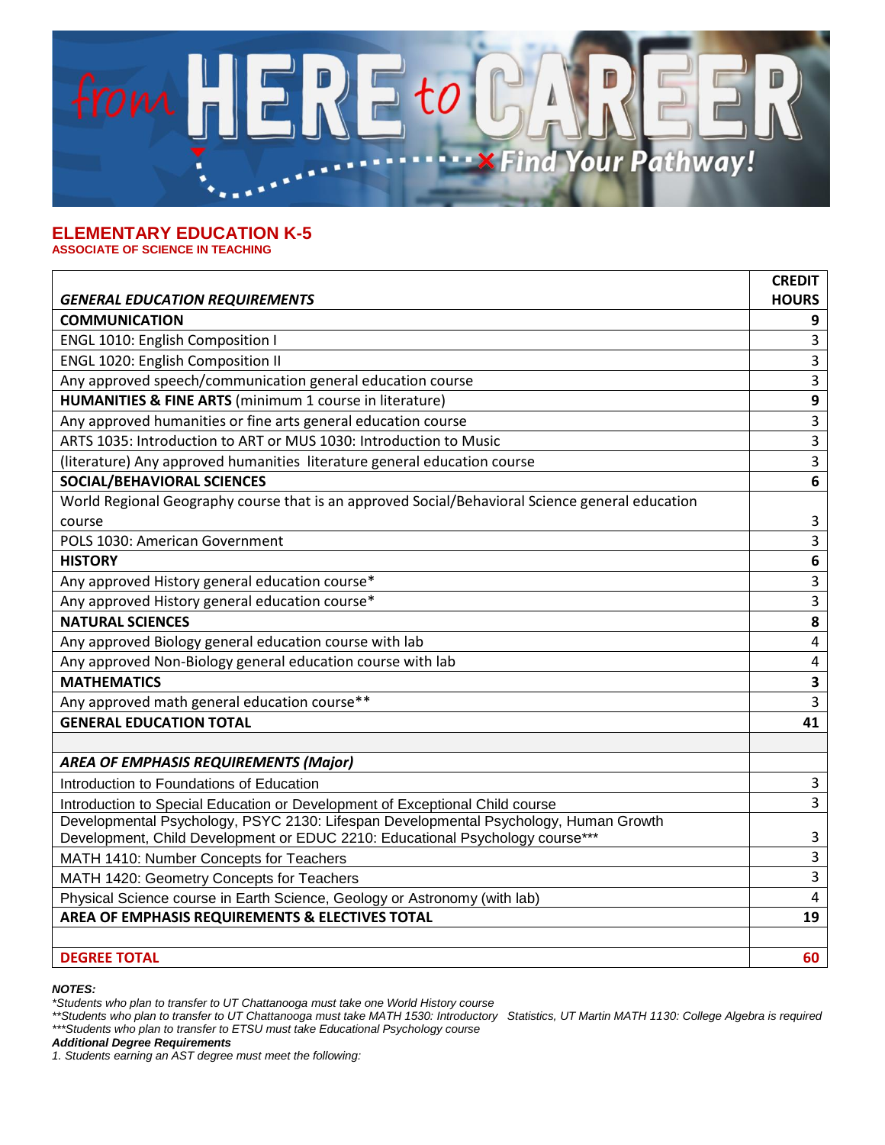

## **ELEMENTARY EDUCATION K-5 ASSOCIATE OF SCIENCE IN TEACHING**

|                                                                                                 | <b>CREDIT</b>    |
|-------------------------------------------------------------------------------------------------|------------------|
| <b>GENERAL EDUCATION REQUIREMENTS</b>                                                           | <b>HOURS</b>     |
| <b>COMMUNICATION</b>                                                                            | 9                |
| ENGL 1010: English Composition I                                                                | 3                |
| <b>ENGL 1020: English Composition II</b>                                                        | 3                |
| Any approved speech/communication general education course                                      | 3                |
| HUMANITIES & FINE ARTS (minimum 1 course in literature)                                         | $\boldsymbol{9}$ |
| Any approved humanities or fine arts general education course                                   | 3                |
| ARTS 1035: Introduction to ART or MUS 1030: Introduction to Music                               | 3                |
| (literature) Any approved humanities literature general education course                        | 3                |
| <b>SOCIAL/BEHAVIORAL SCIENCES</b>                                                               | 6                |
| World Regional Geography course that is an approved Social/Behavioral Science general education |                  |
| course                                                                                          | 3                |
| POLS 1030: American Government                                                                  | 3                |
| <b>HISTORY</b>                                                                                  | 6                |
| Any approved History general education course*                                                  | 3                |
| Any approved History general education course*                                                  | $\overline{3}$   |
| <b>NATURAL SCIENCES</b>                                                                         | 8                |
| Any approved Biology general education course with lab                                          | 4                |
| Any approved Non-Biology general education course with lab                                      | 4                |
| <b>MATHEMATICS</b>                                                                              | 3                |
| Any approved math general education course**                                                    | 3                |
| <b>GENERAL EDUCATION TOTAL</b>                                                                  | 41               |
|                                                                                                 |                  |
| <b>AREA OF EMPHASIS REQUIREMENTS (Major)</b>                                                    |                  |
| Introduction to Foundations of Education                                                        | 3                |
| Introduction to Special Education or Development of Exceptional Child course                    | 3                |
| Developmental Psychology, PSYC 2130: Lifespan Developmental Psychology, Human Growth            |                  |
| Development, Child Development or EDUC 2210: Educational Psychology course***                   | 3                |
| MATH 1410: Number Concepts for Teachers                                                         | 3                |
| MATH 1420: Geometry Concepts for Teachers                                                       | 3                |
| Physical Science course in Earth Science, Geology or Astronomy (with lab)                       | $\overline{4}$   |
| AREA OF EMPHASIS REQUIREMENTS & ELECTIVES TOTAL                                                 | 19               |
|                                                                                                 |                  |
| <b>DEGREE TOTAL</b>                                                                             | 60               |

*NOTES:*

*\*Students who plan to transfer to UT Chattanooga must take one World History course*

*\*\*Students who plan to transfer to UT Chattanooga must take MATH 1530: Introductory Statistics, UT Martin MATH 1130: College Algebra is required \*\*\*Students who plan to transfer to ETSU must take Educational Psychology course*

*Additional Degree Requirements*

*1. Students earning an AST degree must meet the following:*